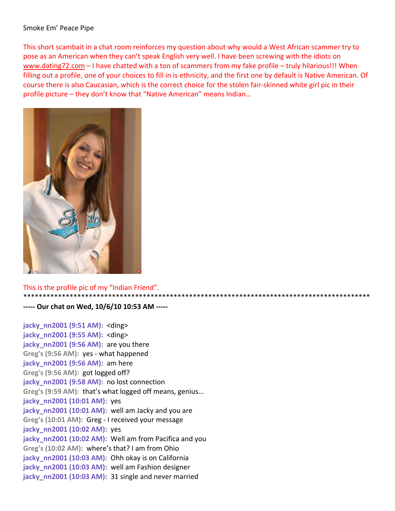## Smoke Em' Peace Pipe

This short scambait in a chat room reinforces my question about why would a West African scammer try to pose as an American when they can't speak English very well. I have been screwing with the idiots on www.dating72.com – I have chatted with a ton of scammers from my fake profile – truly hilarious!!! When filling out a profile, one of your choices to fill in is ethnicity, and the first one by default is Native American. Of course there is also Caucasian, which is the correct choice for the stolen fair‐skinned white girl pic in their profile picture – they don't know that "Native American" means Indian…

\*\*\*\*\*\*\*\*\*\*\*\*\*\*\*\*\*\*\*\*\*\*\*\*\*\*\*\*\*\*\*\*\*\*\*\*\*\*\*\*\*\*\*\*\*\*\*\*\*\*\*\*\*\*\*\*\*\*\*\*\*\*\*\*\*\*\*\*\*\*\*\*\*\*\*\*\*\*\*\*\*\*\*\*\*\*\*\*\*\*



## This is the profile pic of my "Indian Friend".

## **‐‐‐‐‐ Our chat on Wed, 10/6/10 10:53 AM ‐‐‐‐‐**

**jacky\_nn2001 (9:51 AM):** <ding> **jacky\_nn2001 (9:55 AM):** <ding> **jacky** nn2001 (9:56 AM): are you there **Greg's (9:56 AM):** yes ‐ what happened **jacky\_nn2001 (9:56 AM):** am here **Greg's (9:56 AM):** got logged off? **jacky** nn2001 (9:58 AM): no lost connection **Greg's (9:59 AM):** that's what logged off means, genius... **jacky\_nn2001 (10:01 AM):** yes **jacky** nn2001 (10:01 AM): well am Jacky and you are **Greg's (10:01 AM):** Greg ‐ I received your message **jacky\_nn2001 (10:02 AM):** yes **jacky** nn2001 (10:02 AM): Well am from Pacifica and you **Greg's (10:02 AM):** where's that? I am from Ohio **jacky\_nn2001 (10:03 AM):** Ohh okay is on California **jacky** nn2001 (10:03 AM): well am Fashion designer **jacky\_nn2001 (10:03 AM):** 31 single and never married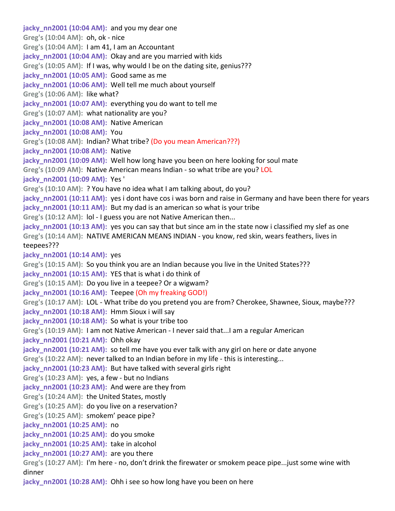**jacky\_nn2001 (10:04 AM):** and you my dear one **Greg's (10:04 AM):** oh, ok ‐ nice **Greg's (10:04 AM):** I am 41, I am an Accountant **jacky\_nn2001 (10:04 AM):** Okay and are you married with kids **Greg's (10:05 AM):** If I was, why would I be on the dating site, genius??? **jacky\_nn2001 (10:05 AM):** Good same as me **jacky** nn2001 (10:06 AM): Well tell me much about yourself **Greg's (10:06 AM):** like what? **jacky** nn2001 (10:07 AM): everything you do want to tell me **Greg's (10:07 AM):** what nationality are you? **jacky** nn2001 (10:08 AM): Native American **jacky\_nn2001 (10:08 AM):** You **Greg's (10:08 AM):** Indian? What tribe? (Do you mean American???) **jacky\_nn2001 (10:08 AM):** Native **jacky** nn2001 (10:09 AM): Well how long have you been on here looking for soul mate **Greg's (10:09 AM):** Native American means Indian ‐ so what tribe are you? LOL **jacky\_nn2001 (10:09 AM):** Yes ' **Greg's (10:10 AM):** ? You have no idea what I am talking about, do you? **jacky\_nn2001 (10:11 AM):** yes i dont have cos i was born and raise in Germany and have been there for years **jacky** nn2001 (10:11 AM): But my dad is an american so what is your tribe **Greg's (10:12 AM):** lol ‐ I guess you are not Native American then... **jacky** nn2001 (10:13 AM): yes you can say that but since am in the state now i classified my slef as one **Greg's (10:14 AM):** NATIVE AMERICAN MEANS INDIAN ‐ you know, red skin, wears feathers, lives in teepees??? **jacky nn2001 (10:14 AM):** yes **Greg's (10:15 AM):** So you think you are an Indian because you live in the United States??? **jacky** nn2001 (10:15 AM): YES that is what i do think of **Greg's (10:15 AM):** Do you live in a teepee? Or a wigwam? **jacky\_nn2001 (10:16 AM):** Teepee (Oh my freaking GOD!) **Greg's (10:17 AM):** LOL ‐ What tribe do you pretend you are from? Cherokee, Shawnee, Sioux, maybe??? **jacky\_nn2001 (10:18 AM):** Hmm Sioux i will say **jacky** nn2001 (10:18 AM): So what is your tribe too **Greg's (10:19 AM):** I am not Native American ‐ I never said that...I am a regular American **jacky\_nn2001 (10:21 AM):** Ohh okay **jacky** nn2001 (10:21 AM): so tell me have you ever talk with any girl on here or date anyone **Greg's (10:22 AM):** never talked to an Indian before in my life ‐ this is interesting... **jacky** nn2001 (10:23 AM): But have talked with several girls right **Greg's (10:23 AM):** yes, a few ‐ but no Indians **jacky** nn2001 (10:23 AM): And were are they from **Greg's (10:24 AM):** the United States, mostly **Greg's (10:25 AM):** do you live on a reservation? **Greg's (10:25 AM):** smokem' peace pipe? **jacky\_nn2001 (10:25 AM):** no **jacky\_nn2001 (10:25 AM):** do you smoke **jacky\_nn2001 (10:25 AM):** take in alcohol **jacky\_nn2001 (10:27 AM):** are you there **Greg's (10:27 AM):** I'm here ‐ no, don't drink the firewater or smokem peace pipe...just some wine with dinner **jacky\_nn2001 (10:28 AM):** Ohh i see so how long have you been on here